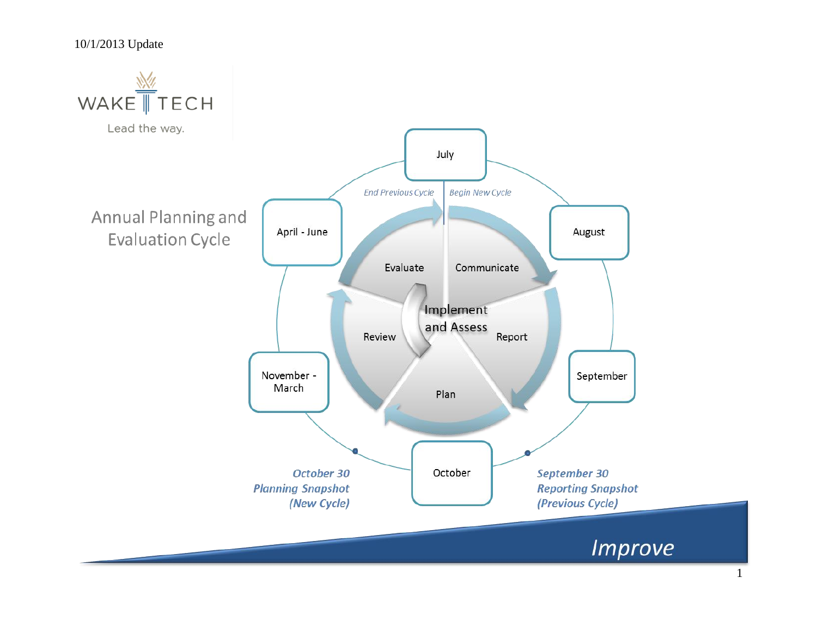### 10/1/2013 Update

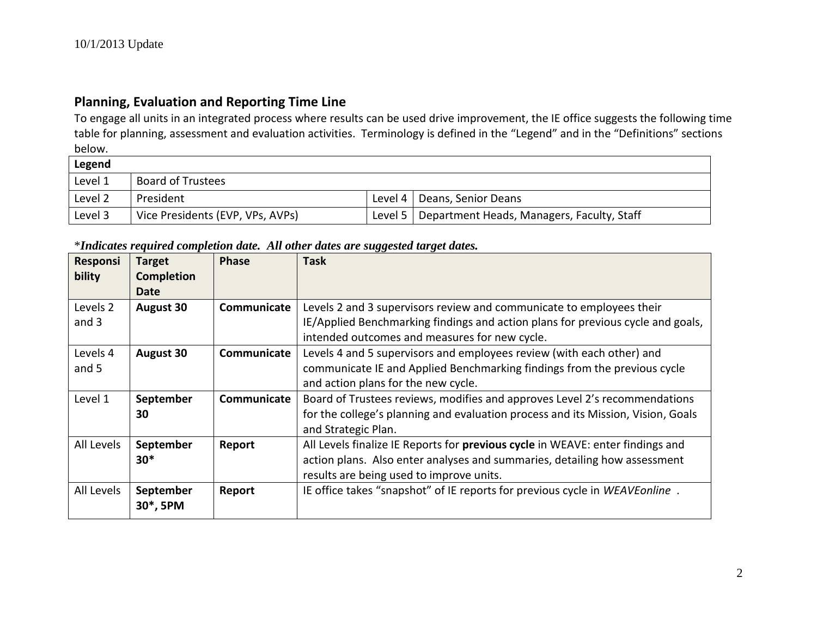## **Planning, Evaluation and Reporting Time Line**

To engage all units in an integrated process where results can be used drive improvement, the IE office suggests the following time table for planning, assessment and evaluation activities. Terminology is defined in the "Legend" and in the "Definitions" sections below.

| Legend  |                                  |         |                                            |  |  |  |  |
|---------|----------------------------------|---------|--------------------------------------------|--|--|--|--|
| Level 1 | <b>Board of Trustees</b>         |         |                                            |  |  |  |  |
| Level 2 | President                        |         | Level 4   Deans, Senior Deans              |  |  |  |  |
| Level 3 | Vice Presidents (EVP, VPs, AVPs) | Level 5 | Department Heads, Managers, Faculty, Staff |  |  |  |  |

## \**Indicates required completion date. All other dates are suggested target dates.*

| Responsi            | <b>Target</b>     | <b>Phase</b> | <b>Task</b>                                                                      |
|---------------------|-------------------|--------------|----------------------------------------------------------------------------------|
| bility              | <b>Completion</b> |              |                                                                                  |
|                     | Date              |              |                                                                                  |
| Levels <sub>2</sub> | <b>August 30</b>  | Communicate  | Levels 2 and 3 supervisors review and communicate to employees their             |
| and 3               |                   |              | IE/Applied Benchmarking findings and action plans for previous cycle and goals,  |
|                     |                   |              | intended outcomes and measures for new cycle.                                    |
| Levels 4            | <b>August 30</b>  | Communicate  | Levels 4 and 5 supervisors and employees review (with each other) and            |
| and 5               |                   |              | communicate IE and Applied Benchmarking findings from the previous cycle         |
|                     |                   |              | and action plans for the new cycle.                                              |
| Level 1             | September         | Communicate  | Board of Trustees reviews, modifies and approves Level 2's recommendations       |
|                     | 30                |              | for the college's planning and evaluation process and its Mission, Vision, Goals |
|                     |                   |              | and Strategic Plan.                                                              |
| All Levels          | September         | Report       | All Levels finalize IE Reports for previous cycle in WEAVE: enter findings and   |
|                     | $30*$             |              | action plans. Also enter analyses and summaries, detailing how assessment        |
|                     |                   |              | results are being used to improve units.                                         |
| All Levels          | September         | Report       | IE office takes "snapshot" of IE reports for previous cycle in WEAVEonline.      |
|                     | 30*, 5PM          |              |                                                                                  |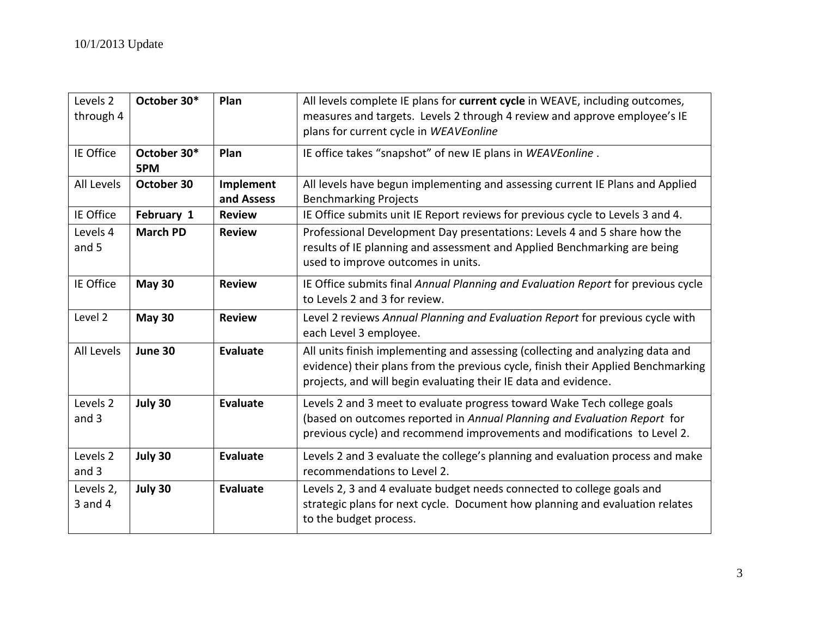| Levels <sub>2</sub><br>through 4 | October 30*        | Plan                    | All levels complete IE plans for current cycle in WEAVE, including outcomes,<br>measures and targets. Levels 2 through 4 review and approve employee's IE<br>plans for current cycle in WEAVEonline                                   |
|----------------------------------|--------------------|-------------------------|---------------------------------------------------------------------------------------------------------------------------------------------------------------------------------------------------------------------------------------|
| IE Office                        | October 30*<br>5PM | Plan                    | IE office takes "snapshot" of new IE plans in WEAVEonline.                                                                                                                                                                            |
| All Levels                       | October 30         | Implement<br>and Assess | All levels have begun implementing and assessing current IE Plans and Applied<br><b>Benchmarking Projects</b>                                                                                                                         |
| IE Office                        | February 1         | <b>Review</b>           | IE Office submits unit IE Report reviews for previous cycle to Levels 3 and 4.                                                                                                                                                        |
| Levels 4<br>and 5                | <b>March PD</b>    | <b>Review</b>           | Professional Development Day presentations: Levels 4 and 5 share how the<br>results of IE planning and assessment and Applied Benchmarking are being<br>used to improve outcomes in units.                                            |
| IE Office                        | <b>May 30</b>      | <b>Review</b>           | IE Office submits final Annual Planning and Evaluation Report for previous cycle<br>to Levels 2 and 3 for review.                                                                                                                     |
| Level 2                          | <b>May 30</b>      | <b>Review</b>           | Level 2 reviews Annual Planning and Evaluation Report for previous cycle with<br>each Level 3 employee.                                                                                                                               |
| All Levels                       | June 30            | <b>Evaluate</b>         | All units finish implementing and assessing (collecting and analyzing data and<br>evidence) their plans from the previous cycle, finish their Applied Benchmarking<br>projects, and will begin evaluating their IE data and evidence. |
| Levels <sub>2</sub><br>and 3     | July 30            | <b>Evaluate</b>         | Levels 2 and 3 meet to evaluate progress toward Wake Tech college goals<br>(based on outcomes reported in Annual Planning and Evaluation Report for<br>previous cycle) and recommend improvements and modifications to Level 2.       |
| Levels 2<br>and 3                | July 30            | <b>Evaluate</b>         | Levels 2 and 3 evaluate the college's planning and evaluation process and make<br>recommendations to Level 2.                                                                                                                         |
| Levels 2,<br>$3$ and $4$         | July 30            | Evaluate                | Levels 2, 3 and 4 evaluate budget needs connected to college goals and<br>strategic plans for next cycle. Document how planning and evaluation relates<br>to the budget process.                                                      |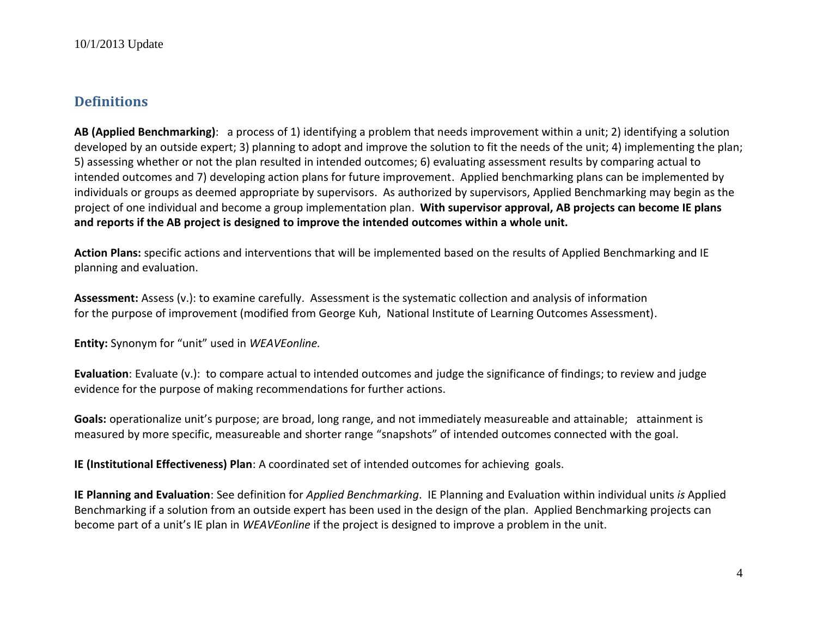# **Definitions**

**AB (Applied Benchmarking)**: a process of 1) identifying a problem that needs improvement within a unit; 2) identifying a solution developed by an outside expert; 3) planning to adopt and improve the solution to fit the needs of the unit; 4) implementing the plan; 5) assessing whether or not the plan resulted in intended outcomes; 6) evaluating assessment results by comparing actual to intended outcomes and 7) developing action plans for future improvement. Applied benchmarking plans can be implemented by individuals or groups as deemed appropriate by supervisors. As authorized by supervisors, Applied Benchmarking may begin as the project of one individual and become a group implementation plan. **With supervisor approval, AB projects can become IE plans and reports if the AB project is designed to improve the intended outcomes within a whole unit.**

**Action Plans:** specific actions and interventions that will be implemented based on the results of Applied Benchmarking and IE planning and evaluation.

**Assessment:** Assess (v.): to examine carefully. Assessment is the systematic collection and analysis of information for the purpose of improvement (modified from George Kuh, National Institute of Learning Outcomes Assessment).

**Entity:** Synonym for "unit" used in *WEAVEonline.*

**Evaluation**: Evaluate (v.): to compare actual to intended outcomes and judge the significance of findings; to review and judge evidence for the purpose of making recommendations for further actions.

**Goals:** operationalize unit's purpose; are broad, long range, and not immediately measureable and attainable; attainment is measured by more specific, measureable and shorter range "snapshots" of intended outcomes connected with the goal.

**IE (Institutional Effectiveness) Plan**: A coordinated set of intended outcomes for achieving goals.

**IE Planning and Evaluation**: See definition for *Applied Benchmarking*. IE Planning and Evaluation within individual units *is* Applied Benchmarking if a solution from an outside expert has been used in the design of the plan. Applied Benchmarking projects can become part of a unit's IE plan in *WEAVEonline* if the project is designed to improve a problem in the unit.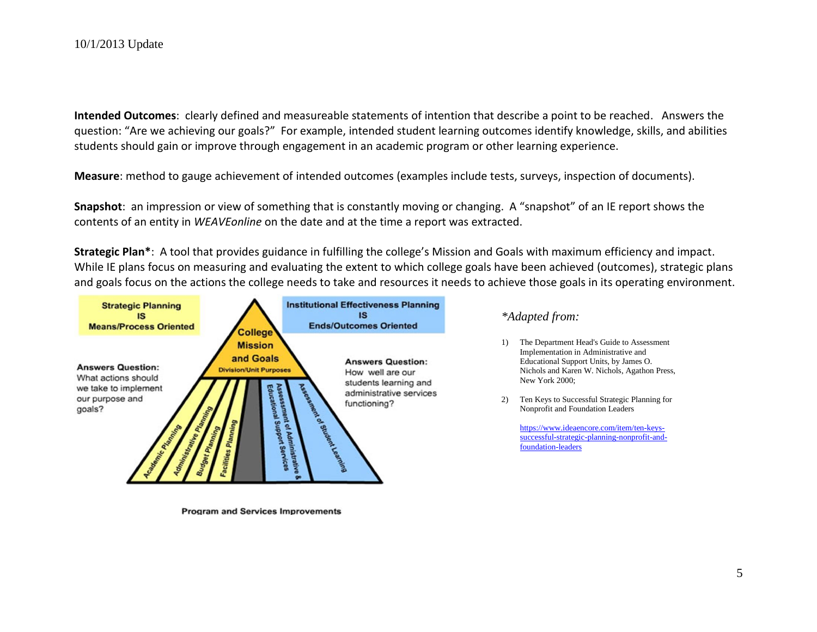**Intended Outcomes**: clearly defined and measureable statements of intention that describe a point to be reached. Answers the question: "Are we achieving our goals?" For example, intended student learning outcomes identify knowledge, skills, and abilities students should gain or improve through engagement in an academic program or other learning experience.

**Measure**: method to gauge achievement of intended outcomes (examples include tests, surveys, inspection of documents).

**Snapshot**: an impression or view of something that is constantly moving or changing. A "snapshot" of an IE report shows the contents of an entity in *WEAVEonline* on the date and at the time a report was extracted.

**Strategic Plan\***: A tool that provides guidance in fulfilling the college's Mission and Goals with maximum efficiency and impact. While IE plans focus on measuring and evaluating the extent to which college goals have been achieved (outcomes), strategic plans and goals focus on the actions the college needs to take and resources it needs to achieve those goals in its operating environment.



**Program and Services Improvements** 

### *\*Adapted from:*

- 1) The Department Head's Guide to Assessment Implementation in Administrative and Educational Support Units, by James O. Nichols and Karen W. Nichols, Agathon Press, New York 2000;
- 2) Ten Keys to Successful Strategic Planning for Nonprofit and Foundation Leaders

[https://www.ideaencore.com/item/ten-keys](https://www.ideaencore.com/item/ten-keys-successful-strategic-planning-nonprofit-and-foundation-leaders)[successful-strategic-planning-nonprofit-and](https://www.ideaencore.com/item/ten-keys-successful-strategic-planning-nonprofit-and-foundation-leaders)[foundation-leaders](https://www.ideaencore.com/item/ten-keys-successful-strategic-planning-nonprofit-and-foundation-leaders)